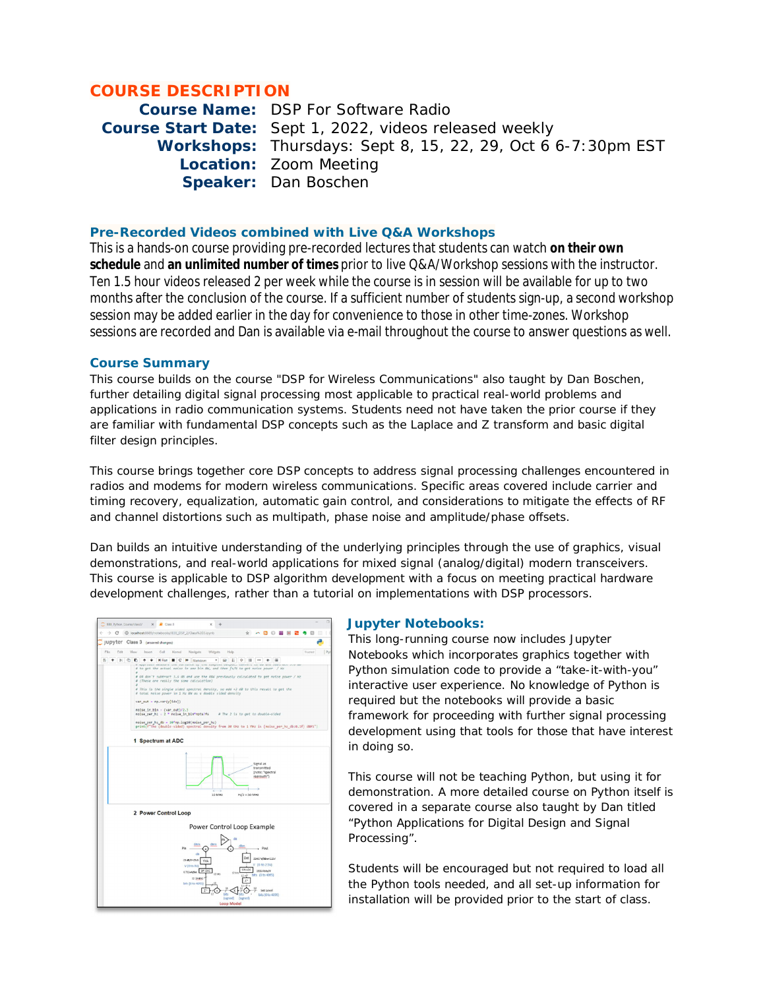# **COURSE DESCRIPTION**

**Course Name:** DSP For Software Radio **Course Start Date:** Sept 1, 2022, videos released weekly **Workshops:** Thursdays: Sept 8, 15, 22, 29, Oct 6 6-7:30pm EST **Location:** Zoom Meeting **Speaker:** Dan Boschen

# **Pre-Recorded Videos combined with Live Q&A Workshops**

This is a hands-on course providing pre-recorded lectures that students can watch **on their own schedule** and **an unlimited number of times** prior to live Q&A/Workshop sessions with the instructor. Ten 1.5 hour videos released 2 per week while the course is in session will be available for up to two months after the conclusion of the course. If a sufficient number of students sign-up, a second workshop session may be added earlier in the day for convenience to those in other time-zones. Workshop sessions are recorded and Dan is available via e-mail throughout the course to answer questions as well.

#### **Course Summary**

This course builds on the course "DSP for Wireless Communications" also taught by Dan Boschen, further detailing digital signal processing most applicable to practical real-world problems and applications in radio communication systems. Students need not have taken the prior course if they are familiar with fundamental DSP concepts such as the Laplace and Z transform and basic digital filter design principles.

This course brings together core DSP concepts to address signal processing challenges encountered in radios and modems for modern wireless communications. Specific areas covered include carrier and timing recovery, equalization, automatic gain control, and considerations to mitigate the effects of RF and channel distortions such as multipath, phase noise and amplitude/phase offsets.

Dan builds an intuitive understanding of the underlying principles through the use of graphics, visual demonstrations, and real-world applications for mixed signal (analog/digital) modern transceivers. This course is applicable to DSP algorithm development with a focus on meeting practical hardware development challenges, rather than a tutorial on implementations with DSP processors.

| IEEE Python Course/class3/           | $X$ $\blacksquare$ Class 3<br>$\mathbf{x}$                                                                                                                                                                                                                                                                                                                                                                                                                                                                                                                                                                                                                                                                                                                                                                                                    |
|--------------------------------------|-----------------------------------------------------------------------------------------------------------------------------------------------------------------------------------------------------------------------------------------------------------------------------------------------------------------------------------------------------------------------------------------------------------------------------------------------------------------------------------------------------------------------------------------------------------------------------------------------------------------------------------------------------------------------------------------------------------------------------------------------------------------------------------------------------------------------------------------------|
| ¢                                    | > C @ localhostd689/notebooks/IEEE_DSP_2/Class%203.ipynb<br>83<br>का<br>$\mathcal{L}$<br>A<br>63                                                                                                                                                                                                                                                                                                                                                                                                                                                                                                                                                                                                                                                                                                                                              |
| Jupyter Class 3 (unsaved changes)    |                                                                                                                                                                                                                                                                                                                                                                                                                                                                                                                                                                                                                                                                                                                                                                                                                                               |
| File<br>Edit<br>View                 | Coll<br>Komal<br>Navigate<br><b>Widgets</b><br>IP <sub>3</sub><br>Insert<br>Holp<br>Trusted                                                                                                                                                                                                                                                                                                                                                                                                                                                                                                                                                                                                                                                                                                                                                   |
| $\mathbb{R}$ 2<br>5<br>$+$<br>D<br>٠ | <b>H</b> Run<br>$\mathbf{C}$<br><b>H</b><br>ш<br>٠<br>Markdown<br>٠<br>$\overline{\phantom{a}}$<br>۰<br><b>im</b><br><br>$\equiv$<br>œ<br># to get the actual noise in one bin BW, and then fs/W to get noise power / Hz<br># OR don't subtract 3.6 dB and use the RBW previously calculated to get noise power / Hz<br># (These are really the same calculation)<br># This is the single sided spectral density, so add +3 dD to this result to get the<br># total noise power in 1 Hz BW as a double sided density<br>var out - np.var(y[idx])<br>$noise$ in $bin - (var out)/2.3$<br>noise per hz = 2 * noise in bin*nots/fs<br># The 2 is to get to double-sided<br>noise_per_hz_db = 10*np.log10(noise_per_hz)<br>print(f"The (double-sided) spectral density from 30 KHz to 1 PHz is (noise_per_hz_db:0.1f) dBFS")<br>1 Spectrum at ADC |
|                                      | Sienal as<br>transmitted<br>(note: "spectral<br>regrowth")<br>10 MHz<br>$Fs/2 = 50$ MHz                                                                                                                                                                                                                                                                                                                                                                                                                                                                                                                                                                                                                                                                                                                                                       |
|                                      | 2 Power Control Loop                                                                                                                                                                                                                                                                                                                                                                                                                                                                                                                                                                                                                                                                                                                                                                                                                          |
|                                      | Power Control Loop Example                                                                                                                                                                                                                                                                                                                                                                                                                                                                                                                                                                                                                                                                                                                                                                                                                    |
|                                      | dFets<br>$p_{in}$<br>- Pout<br>dit<br>03457 V/dbwr2.25V<br>09/09/95/9<br>VVA<br>V (0 to 2.5V)<br>V (0 to 3W)<br><b>521 ADC</b><br>1630-4 bits/V<br>0.732mlybe 5Pl DAC<br>12 bits<br>12000<br>bits (0 to 4095)<br>12 (men)<br>24<br>bits (0 to 4095)<br><b>VE</b><br>Set Level<br>z<br>bits<br>bits (0 to 4095)<br>(signed)<br>(signed)<br><b>Loop Model</b>                                                                                                                                                                                                                                                                                                                                                                                                                                                                                   |

#### **Jupyter Notebooks:**

This long-running course now includes Jupyter Notebooks which incorporates graphics together with Python simulation code to provide a "take-it-with-you" interactive user experience. No knowledge of Python is required but the notebooks will provide a basic framework for proceeding with further signal processing development using that tools for those that have interest in doing so.

This course will not be teaching Python, but using it for demonstration. A more detailed course on Python itself is covered in a separate course also taught by Dan titled "Python Applications for Digital Design and Signal Processing".

Students will be encouraged but not required to load all the Python tools needed, and all set-up information for installation will be provided prior to the start of class.